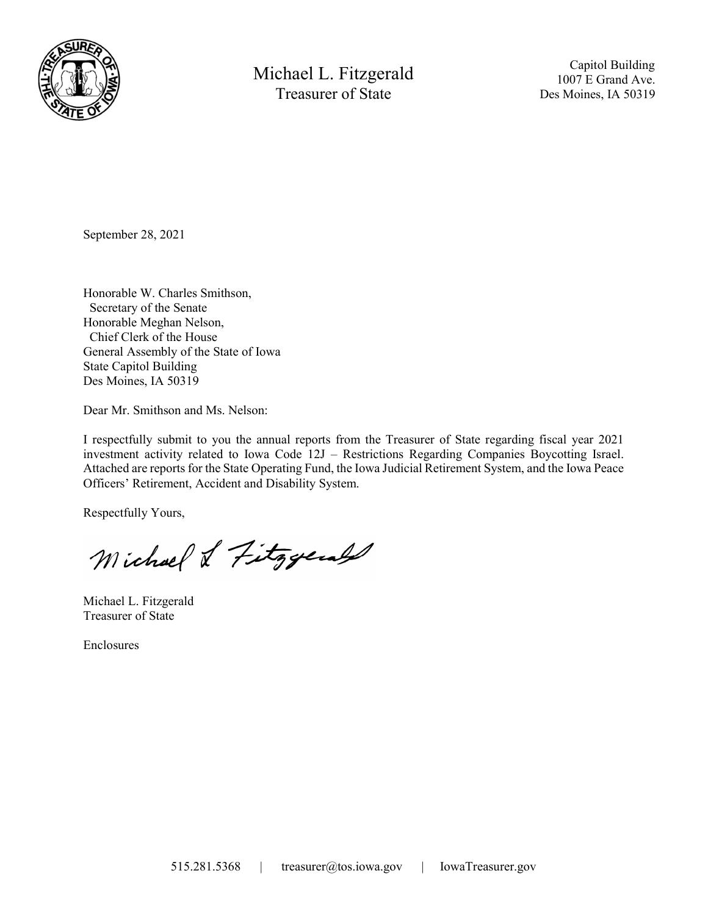

Michael L. Fitzgerald Treasurer of State

 Capitol Building 1007 E Grand Ave. Des Moines, IA 50319

September 28, 2021

Honorable W. Charles Smithson, Secretary of the Senate Honorable Meghan Nelson, Chief Clerk of the House General Assembly of the State of Iowa State Capitol Building Des Moines, IA 50319

Dear Mr. Smithson and Ms. Nelson:

I respectfully submit to you the annual reports from the Treasurer of State regarding fiscal year 2021 investment activity related to Iowa Code 12J – Restrictions Regarding Companies Boycotting Israel. Attached are reports for the State Operating Fund, the Iowa Judicial Retirement System, and the Iowa Peace Officers' Retirement, Accident and Disability System.

Respectfully Yours,

Michael & Fitzgerald

Michael L. Fitzgerald Treasurer of State

Enclosures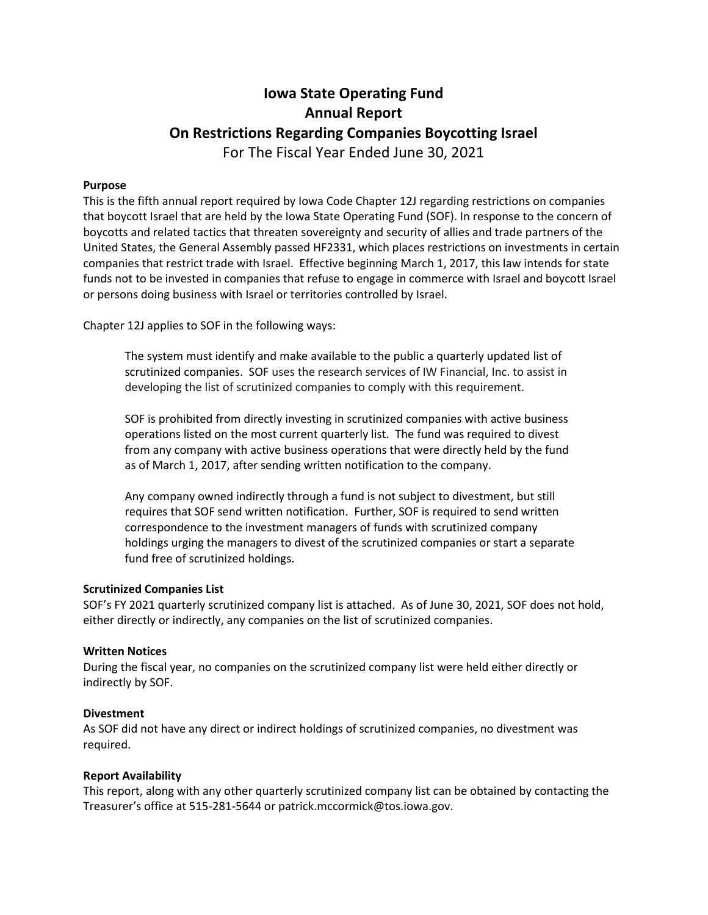## Iowa State Operating Fund Annual Report On Restrictions Regarding Companies Boycotting Israel For The Fiscal Year Ended June 30, 2021

## Purpose

This is the fifth annual report required by Iowa Code Chapter 12J regarding restrictions on companies that boycott Israel that are held by the Iowa State Operating Fund (SOF). In response to the concern of boycotts and related tactics that threaten sovereignty and security of allies and trade partners of the United States, the General Assembly passed HF2331, which places restrictions on investments in certain companies that restrict trade with Israel. Effective beginning March 1, 2017, this law intends for state funds not to be invested in companies that refuse to engage in commerce with Israel and boycott Israel or persons doing business with Israel or territories controlled by Israel.

Chapter 12J applies to SOF in the following ways:

The system must identify and make available to the public a quarterly updated list of scrutinized companies. SOF uses the research services of IW Financial, Inc. to assist in developing the list of scrutinized companies to comply with this requirement.

SOF is prohibited from directly investing in scrutinized companies with active business operations listed on the most current quarterly list. The fund was required to divest from any company with active business operations that were directly held by the fund as of March 1, 2017, after sending written notification to the company.

Any company owned indirectly through a fund is not subject to divestment, but still requires that SOF send written notification. Further, SOF is required to send written correspondence to the investment managers of funds with scrutinized company holdings urging the managers to divest of the scrutinized companies or start a separate fund free of scrutinized holdings.

#### Scrutinized Companies List

SOF's FY 2021 quarterly scrutinized company list is attached. As of June 30, 2021, SOF does not hold, either directly or indirectly, any companies on the list of scrutinized companies.

#### Written Notices

During the fiscal year, no companies on the scrutinized company list were held either directly or indirectly by SOF.

#### Divestment

As SOF did not have any direct or indirect holdings of scrutinized companies, no divestment was required.

## Report Availability

This report, along with any other quarterly scrutinized company list can be obtained by contacting the Treasurer's office at 515-281-5644 or patrick.mccormick@tos.iowa.gov.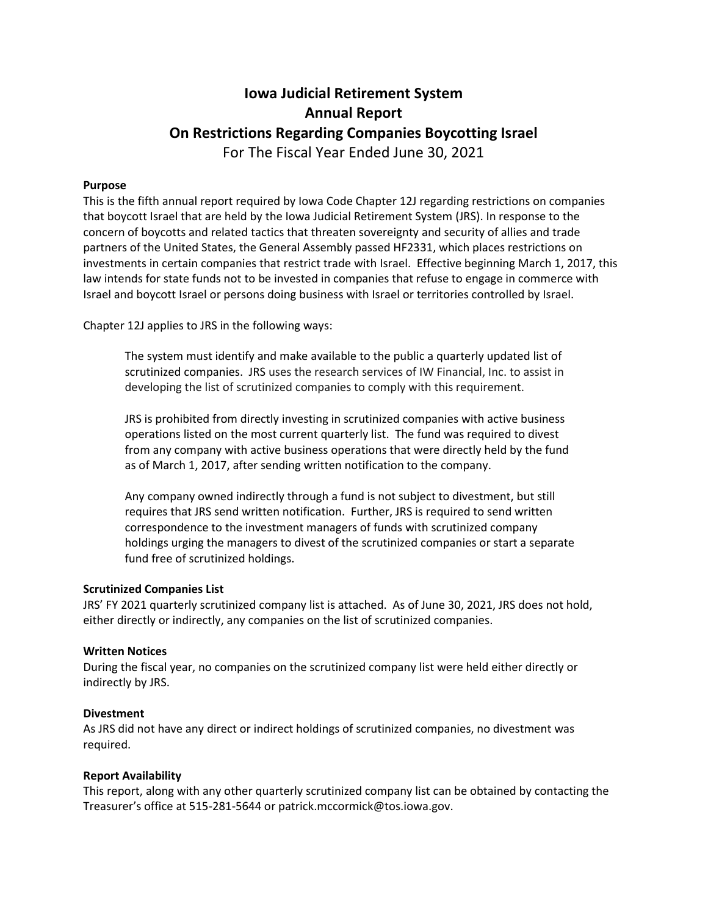## Iowa Judicial Retirement System Annual Report On Restrictions Regarding Companies Boycotting Israel For The Fiscal Year Ended June 30, 2021

## Purpose

This is the fifth annual report required by Iowa Code Chapter 12J regarding restrictions on companies that boycott Israel that are held by the Iowa Judicial Retirement System (JRS). In response to the concern of boycotts and related tactics that threaten sovereignty and security of allies and trade partners of the United States, the General Assembly passed HF2331, which places restrictions on investments in certain companies that restrict trade with Israel. Effective beginning March 1, 2017, this law intends for state funds not to be invested in companies that refuse to engage in commerce with Israel and boycott Israel or persons doing business with Israel or territories controlled by Israel.

Chapter 12J applies to JRS in the following ways:

The system must identify and make available to the public a quarterly updated list of scrutinized companies. JRS uses the research services of IW Financial, Inc. to assist in developing the list of scrutinized companies to comply with this requirement.

JRS is prohibited from directly investing in scrutinized companies with active business operations listed on the most current quarterly list. The fund was required to divest from any company with active business operations that were directly held by the fund as of March 1, 2017, after sending written notification to the company.

Any company owned indirectly through a fund is not subject to divestment, but still requires that JRS send written notification. Further, JRS is required to send written correspondence to the investment managers of funds with scrutinized company holdings urging the managers to divest of the scrutinized companies or start a separate fund free of scrutinized holdings.

## Scrutinized Companies List

JRS' FY 2021 quarterly scrutinized company list is attached. As of June 30, 2021, JRS does not hold, either directly or indirectly, any companies on the list of scrutinized companies.

#### Written Notices

During the fiscal year, no companies on the scrutinized company list were held either directly or indirectly by JRS.

#### Divestment

As JRS did not have any direct or indirect holdings of scrutinized companies, no divestment was required.

#### Report Availability

This report, along with any other quarterly scrutinized company list can be obtained by contacting the Treasurer's office at 515-281-5644 or patrick.mccormick@tos.iowa.gov.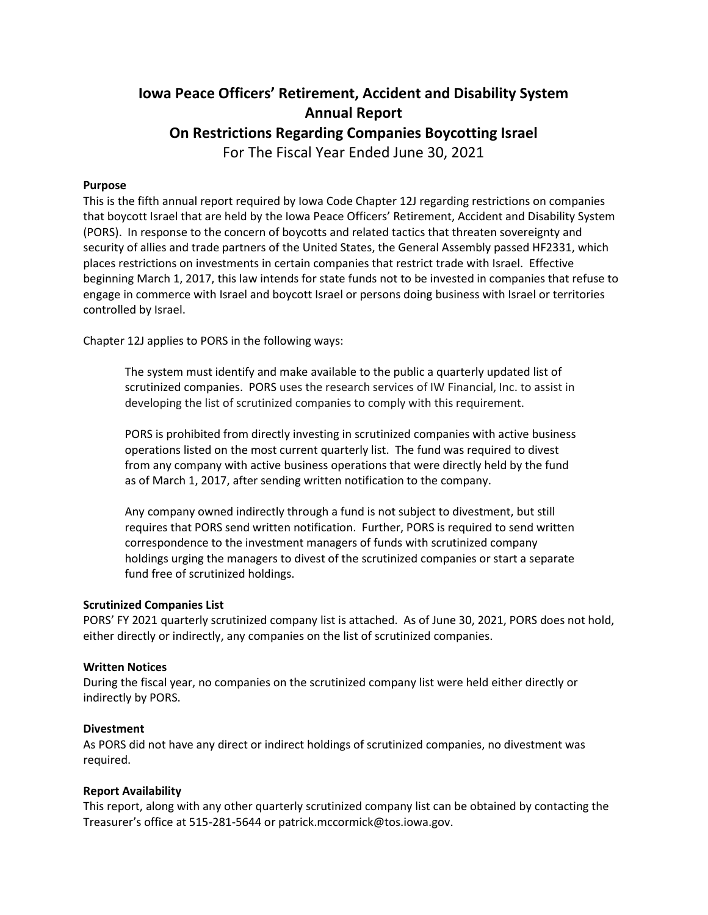# Iowa Peace Officers' Retirement, Accident and Disability System Annual Report On Restrictions Regarding Companies Boycotting Israel For The Fiscal Year Ended June 30, 2021

## Purpose

This is the fifth annual report required by Iowa Code Chapter 12J regarding restrictions on companies that boycott Israel that are held by the Iowa Peace Officers' Retirement, Accident and Disability System (PORS). In response to the concern of boycotts and related tactics that threaten sovereignty and security of allies and trade partners of the United States, the General Assembly passed HF2331, which places restrictions on investments in certain companies that restrict trade with Israel. Effective beginning March 1, 2017, this law intends for state funds not to be invested in companies that refuse to engage in commerce with Israel and boycott Israel or persons doing business with Israel or territories controlled by Israel.

Chapter 12J applies to PORS in the following ways:

The system must identify and make available to the public a quarterly updated list of scrutinized companies. PORS uses the research services of IW Financial, Inc. to assist in developing the list of scrutinized companies to comply with this requirement.

PORS is prohibited from directly investing in scrutinized companies with active business operations listed on the most current quarterly list. The fund was required to divest from any company with active business operations that were directly held by the fund as of March 1, 2017, after sending written notification to the company.

Any company owned indirectly through a fund is not subject to divestment, but still requires that PORS send written notification. Further, PORS is required to send written correspondence to the investment managers of funds with scrutinized company holdings urging the managers to divest of the scrutinized companies or start a separate fund free of scrutinized holdings.

## Scrutinized Companies List

PORS' FY 2021 quarterly scrutinized company list is attached. As of June 30, 2021, PORS does not hold, either directly or indirectly, any companies on the list of scrutinized companies.

## Written Notices

During the fiscal year, no companies on the scrutinized company list were held either directly or indirectly by PORS.

## Divestment

As PORS did not have any direct or indirect holdings of scrutinized companies, no divestment was required.

## Report Availability

This report, along with any other quarterly scrutinized company list can be obtained by contacting the Treasurer's office at 515-281-5644 or patrick.mccormick@tos.iowa.gov.